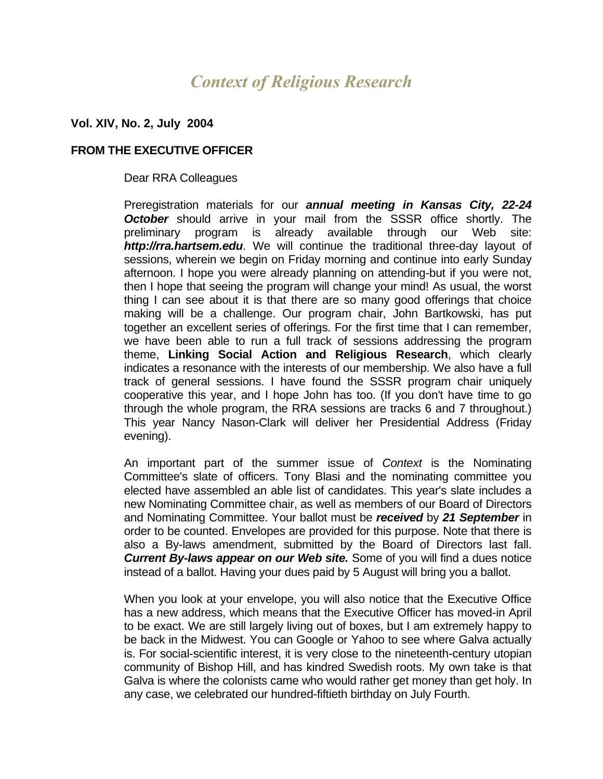# *Context of Religious Research*

## **Vol. XIV, No. 2, July 2004**

### **FROM THE EXECUTIVE OFFICER**

### Dear RRA Colleagues

Preregistration materials for our *annual meeting in Kansas City, 22-24 October* should arrive in your mail from the SSSR office shortly. The preliminary program is already available through our Web site: *http://rra.hartsem.edu*. We will continue the traditional three-day layout of sessions, wherein we begin on Friday morning and continue into early Sunday afternoon. I hope you were already planning on attending-but if you were not, then I hope that seeing the program will change your mind! As usual, the worst thing I can see about it is that there are so many good offerings that choice making will be a challenge. Our program chair, John Bartkowski, has put together an excellent series of offerings. For the first time that I can remember, we have been able to run a full track of sessions addressing the program theme, **Linking Social Action and Religious Research**, which clearly indicates a resonance with the interests of our membership. We also have a full track of general sessions. I have found the SSSR program chair uniquely cooperative this year, and I hope John has too. (If you don't have time to go through the whole program, the RRA sessions are tracks 6 and 7 throughout.) This year Nancy Nason-Clark will deliver her Presidential Address (Friday evening).

An important part of the summer issue of *Context* is the Nominating Committee's slate of officers. Tony Blasi and the nominating committee you elected have assembled an able list of candidates. This year's slate includes a new Nominating Committee chair, as well as members of our Board of Directors and Nominating Committee. Your ballot must be *received* by *21 September* in order to be counted. Envelopes are provided for this purpose. Note that there is also a By-laws amendment, submitted by the Board of Directors last fall. *Current By-laws appear on our Web site.* Some of you will find a dues notice instead of a ballot. Having your dues paid by 5 August will bring you a ballot.

When you look at your envelope, you will also notice that the Executive Office has a new address, which means that the Executive Officer has moved-in April to be exact. We are still largely living out of boxes, but I am extremely happy to be back in the Midwest. You can Google or Yahoo to see where Galva actually is. For social-scientific interest, it is very close to the nineteenth-century utopian community of Bishop Hill, and has kindred Swedish roots. My own take is that Galva is where the colonists came who would rather get money than get holy. In any case, we celebrated our hundred-fiftieth birthday on July Fourth.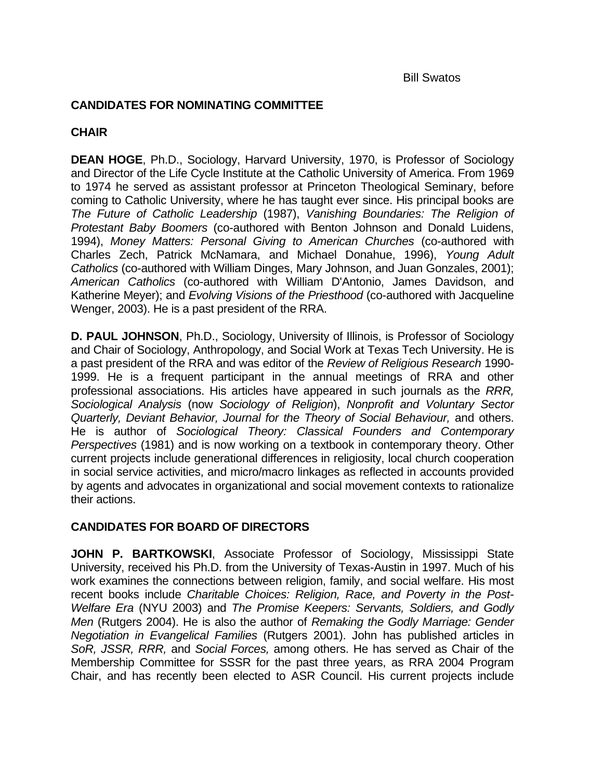# **CANDIDATES FOR NOMINATING COMMITTEE**

# **CHAIR**

**DEAN HOGE**, Ph.D., Sociology, Harvard University, 1970, is Professor of Sociology and Director of the Life Cycle Institute at the Catholic University of America. From 1969 to 1974 he served as assistant professor at Princeton Theological Seminary, before coming to Catholic University, where he has taught ever since. His principal books are *The Future of Catholic Leadership* (1987), *Vanishing Boundaries: The Religion of Protestant Baby Boomers* (co-authored with Benton Johnson and Donald Luidens, 1994), *Money Matters: Personal Giving to American Churches* (co-authored with Charles Zech, Patrick McNamara, and Michael Donahue, 1996), *Young Adult Catholics* (co-authored with William Dinges, Mary Johnson, and Juan Gonzales, 2001); *American Catholics* (co-authored with William D'Antonio, James Davidson, and Katherine Meyer); and *Evolving Visions of the Priesthood* (co-authored with Jacqueline Wenger, 2003). He is a past president of the RRA.

**D. PAUL JOHNSON**, Ph.D., Sociology, University of Illinois, is Professor of Sociology and Chair of Sociology, Anthropology, and Social Work at Texas Tech University. He is a past president of the RRA and was editor of the *Review of Religious Research* 1990- 1999. He is a frequent participant in the annual meetings of RRA and other professional associations. His articles have appeared in such journals as the *RRR, Sociological Analysis* (now *Sociology of Religion*), *Nonprofit and Voluntary Sector*  Quarterly, Deviant Behavior, Journal for the Theory of Social Behaviour, and others. He is author of *Sociological Theory: Classical Founders and Contemporary Perspectives* (1981) and is now working on a textbook in contemporary theory. Other current projects include generational differences in religiosity, local church cooperation in social service activities, and micro/macro linkages as reflected in accounts provided by agents and advocates in organizational and social movement contexts to rationalize their actions.

# **CANDIDATES FOR BOARD OF DIRECTORS**

**JOHN P. BARTKOWSKI**, Associate Professor of Sociology, Mississippi State University, received his Ph.D. from the University of Texas-Austin in 1997. Much of his work examines the connections between religion, family, and social welfare. His most recent books include *Charitable Choices: Religion, Race, and Poverty in the Post-Welfare Era* (NYU 2003) and *The Promise Keepers: Servants, Soldiers, and Godly Men* (Rutgers 2004). He is also the author of *Remaking the Godly Marriage: Gender Negotiation in Evangelical Families* (Rutgers 2001). John has published articles in *SoR, JSSR, RRR,* and *Social Forces,* among others. He has served as Chair of the Membership Committee for SSSR for the past three years, as RRA 2004 Program Chair, and has recently been elected to ASR Council. His current projects include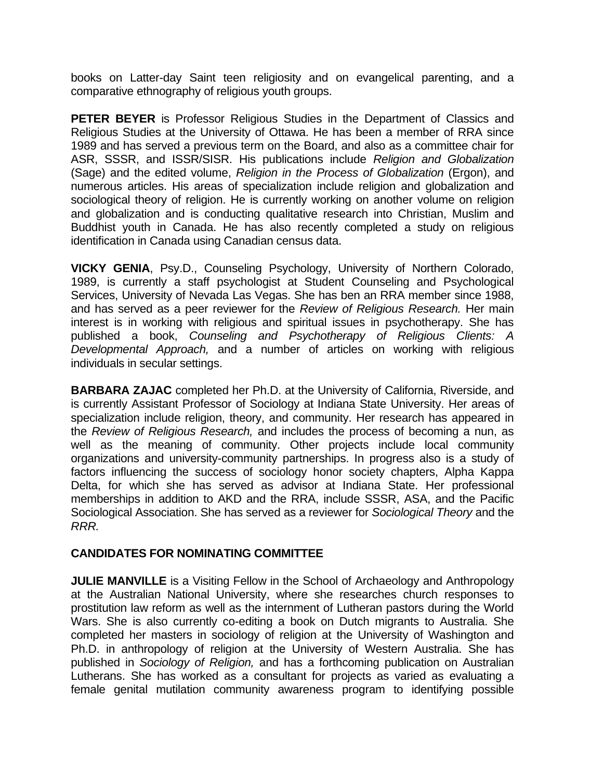books on Latter-day Saint teen religiosity and on evangelical parenting, and a comparative ethnography of religious youth groups.

**PETER BEYER** is Professor Religious Studies in the Department of Classics and Religious Studies at the University of Ottawa. He has been a member of RRA since 1989 and has served a previous term on the Board, and also as a committee chair for ASR, SSSR, and ISSR/SISR. His publications include *Religion and Globalization*  (Sage) and the edited volume, *Religion in the Process of Globalization* (Ergon), and numerous articles. His areas of specialization include religion and globalization and sociological theory of religion. He is currently working on another volume on religion and globalization and is conducting qualitative research into Christian, Muslim and Buddhist youth in Canada. He has also recently completed a study on religious identification in Canada using Canadian census data.

**VICKY GENIA**, Psy.D., Counseling Psychology, University of Northern Colorado, 1989, is currently a staff psychologist at Student Counseling and Psychological Services, University of Nevada Las Vegas. She has ben an RRA member since 1988, and has served as a peer reviewer for the *Review of Religious Research.* Her main interest is in working with religious and spiritual issues in psychotherapy. She has published a book, *Counseling and Psychotherapy of Religious Clients: A Developmental Approach,* and a number of articles on working with religious individuals in secular settings.

**BARBARA ZAJAC** completed her Ph.D. at the University of California, Riverside, and is currently Assistant Professor of Sociology at Indiana State University. Her areas of specialization include religion, theory, and community. Her research has appeared in the *Review of Religious Research,* and includes the process of becoming a nun, as well as the meaning of community. Other projects include local community organizations and university-community partnerships. In progress also is a study of factors influencing the success of sociology honor society chapters, Alpha Kappa Delta, for which she has served as advisor at Indiana State. Her professional memberships in addition to AKD and the RRA, include SSSR, ASA, and the Pacific Sociological Association. She has served as a reviewer for *Sociological Theory* and the *RRR.*

# **CANDIDATES FOR NOMINATING COMMITTEE**

**JULIE MANVILLE** is a Visiting Fellow in the School of Archaeology and Anthropology at the Australian National University, where she researches church responses to prostitution law reform as well as the internment of Lutheran pastors during the World Wars. She is also currently co-editing a book on Dutch migrants to Australia. She completed her masters in sociology of religion at the University of Washington and Ph.D. in anthropology of religion at the University of Western Australia. She has published in *Sociology of Religion,* and has a forthcoming publication on Australian Lutherans. She has worked as a consultant for projects as varied as evaluating a female genital mutilation community awareness program to identifying possible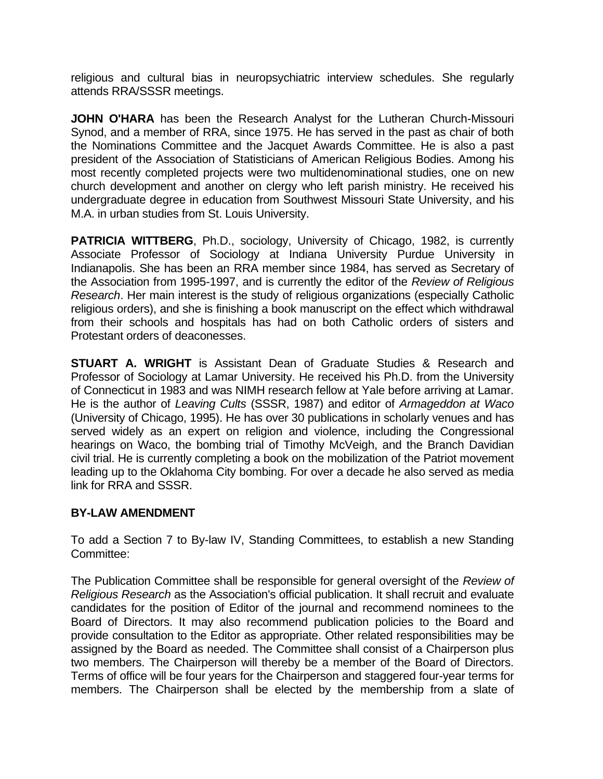religious and cultural bias in neuropsychiatric interview schedules. She regularly attends RRA/SSSR meetings.

**JOHN O'HARA** has been the Research Analyst for the Lutheran Church-Missouri Synod, and a member of RRA, since 1975. He has served in the past as chair of both the Nominations Committee and the Jacquet Awards Committee. He is also a past president of the Association of Statisticians of American Religious Bodies. Among his most recently completed projects were two multidenominational studies, one on new church development and another on clergy who left parish ministry. He received his undergraduate degree in education from Southwest Missouri State University, and his M.A. in urban studies from St. Louis University.

**PATRICIA WITTBERG**, Ph.D., sociology, University of Chicago, 1982, is currently Associate Professor of Sociology at Indiana University Purdue University in Indianapolis. She has been an RRA member since 1984, has served as Secretary of the Association from 1995-1997, and is currently the editor of the *Review of Religious Research*. Her main interest is the study of religious organizations (especially Catholic religious orders), and she is finishing a book manuscript on the effect which withdrawal from their schools and hospitals has had on both Catholic orders of sisters and Protestant orders of deaconesses.

**STUART A. WRIGHT** is Assistant Dean of Graduate Studies & Research and Professor of Sociology at Lamar University. He received his Ph.D. from the University of Connecticut in 1983 and was NIMH research fellow at Yale before arriving at Lamar. He is the author of *Leaving Cults* (SSSR, 1987) and editor of *Armageddon at Waco*  (University of Chicago, 1995). He has over 30 publications in scholarly venues and has served widely as an expert on religion and violence, including the Congressional hearings on Waco, the bombing trial of Timothy McVeigh, and the Branch Davidian civil trial. He is currently completing a book on the mobilization of the Patriot movement leading up to the Oklahoma City bombing. For over a decade he also served as media link for RRA and SSSR.

# **BY-LAW AMENDMENT**

To add a Section 7 to By-law IV, Standing Committees, to establish a new Standing Committee:

The Publication Committee shall be responsible for general oversight of the *Review of Religious Research* as the Association's official publication. It shall recruit and evaluate candidates for the position of Editor of the journal and recommend nominees to the Board of Directors. It may also recommend publication policies to the Board and provide consultation to the Editor as appropriate. Other related responsibilities may be assigned by the Board as needed. The Committee shall consist of a Chairperson plus two members. The Chairperson will thereby be a member of the Board of Directors. Terms of office will be four years for the Chairperson and staggered four-year terms for members. The Chairperson shall be elected by the membership from a slate of